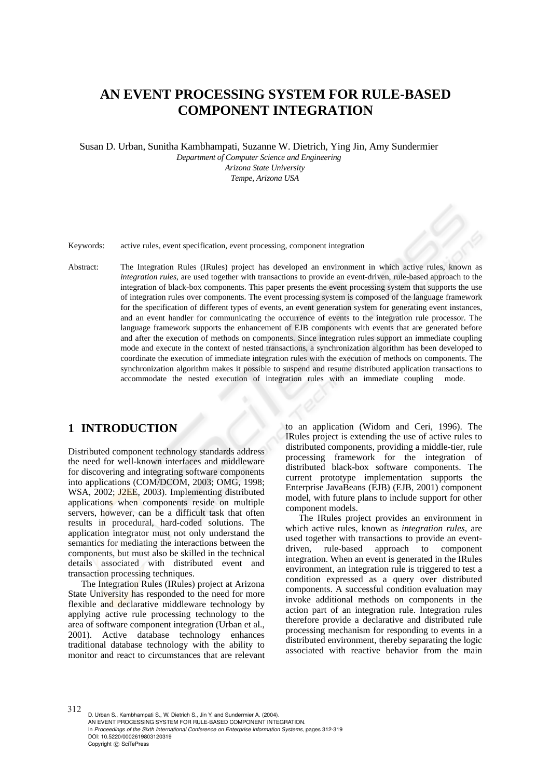# **AN EVENT PROCESSING SYSTEM FOR RULE-BASED COMPONENT INTEGRATION**

Susan D. Urban, Sunitha Kambhampati, Suzanne W. Dietrich, Ying Jin, Amy Sundermier

*Department of Computer Science and Engineering Arizona State University Tempe, Arizona USA* 

Keywords: active rules, event specification, event processing, component integration

Abstract: The Integration Rules (IRules) project has developed an environment in which active rules, known as *integration rules*, are used together with transactions to provide an event-driven, rule-based approach to the integration of black-box components. This paper presents the event processing system that supports the use of integration rules over components. The event processing system is composed of the language framework for the specification of different types of events, an event generation system for generating event instances, and an event handler for communicating the occurrence of events to the integration rule processor. The language framework supports the enhancement of EJB components with events that are generated before and after the execution of methods on components. Since integration rules support an immediate coupling mode and execute in the context of nested transactions, a synchronization algorithm has been developed to coordinate the execution of immediate integration rules with the execution of methods on components. The synchronization algorithm makes it possible to suspend and resume distributed application transactions to accommodate the nested execution of integration rules with an immediate coupling mode.

# **1 INTRODUCTION**

Distributed component technology standards address the need for well-known interfaces and middleware for discovering and integrating software components into applications (COM/DCOM, 2003; OMG, 1998; WSA, 2002; J2EE, 2003). Implementing distributed applications when components reside on multiple servers, however, can be a difficult task that often results in procedural, hard-coded solutions. The application integrator must not only understand the semantics for mediating the interactions between the components, but must also be skilled in the technical details associated with distributed event and transaction processing techniques.

The Integration Rules (IRules) project at Arizona State University has responded to the need for more flexible and declarative middleware technology by applying active rule processing technology to the area of software component integration (Urban et al., 2001). Active database technology enhances traditional database technology with the ability to monitor and react to circumstances that are relevant

to an application (Widom and Ceri, 1996). The IRules project is extending the use of active rules to distributed components, providing a middle-tier, rule processing framework for the integration of distributed black-box software components. The current prototype implementation supports the Enterprise JavaBeans (EJB) (EJB, 2001) component model, with future plans to include support for other component models.

The IRules project provides an environment in which active rules, known as *integration rules*, are used together with transactions to provide an eventdriven, rule-based approach to component integration. When an event is generated in the IRules environment, an integration rule is triggered to test a condition expressed as a query over distributed components. A successful condition evaluation may invoke additional methods on components in the action part of an integration rule. Integration rules therefore provide a declarative and distributed rule processing mechanism for responding to events in a distributed environment, thereby separating the logic associated with reactive behavior from the main

312 D. Urban S., Kambhampati S., W. Dietrich S., Jin Y. and Sundermier A. (2004). AN EVENT PROCESSING SYSTEM FOR RULE-BASED COMPONENT INTEGRATION. In *Proceedings of the Sixth International Conference on Enterprise Information Systems*, pages 312-319 DOI: 10.5220/0002619803120319 Copyright (C) SciTePress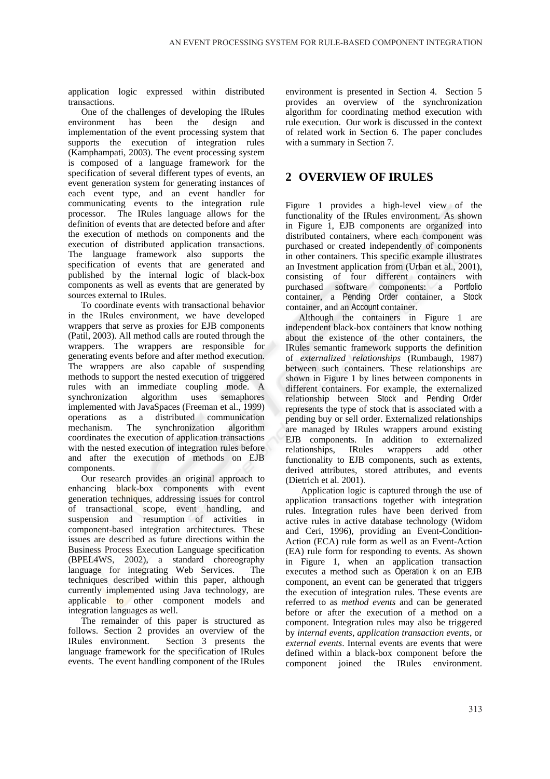application logic expressed within distributed transactions.

One of the challenges of developing the IRules environment has been the design and implementation of the event processing system that supports the execution of integration rules (Kamphampati, 2003). The event processing system is composed of a language framework for the specification of several different types of events, an event generation system for generating instances of each event type, and an event handler for communicating events to the integration rule processor. The IRules language allows for the definition of events that are detected before and after the execution of methods on components and the execution of distributed application transactions. The language framework also supports the specification of events that are generated and published by the internal logic of black-box components as well as events that are generated by sources external to IRules.

To coordinate events with transactional behavior in the IRules environment, we have developed wrappers that serve as proxies for EJB components (Patil, 2003). All method calls are routed through the wrappers. The wrappers are responsible for generating events before and after method execution. The wrappers are also capable of suspending methods to support the nested execution of triggered rules with an immediate coupling mode. A synchronization algorithm uses semaphores implemented with JavaSpaces (Freeman et al., 1999) operations as a distributed communication mechanism. The synchronization algorithm coordinates the execution of application transactions with the nested execution of integration rules before and after the execution of methods on EJB components.

Our research provides an original approach to enhancing black-box components with event generation techniques, addressing issues for control of transactional scope, event handling, and suspension and resumption of activities in component-based integration architectures. These issues are described as future directions within the Business Process Execution Language specification (BPEL4WS, 2002), a standard choreography language for integrating Web Services. The techniques described within this paper, although currently implemented using Java technology, are applicable to other component models and integration languages as well.

The remainder of this paper is structured as follows. Section 2 provides an overview of the IRules environment. Section 3 presents the language framework for the specification of IRules events. The event handling component of the IRules

environment is presented in Section 4. Section 5 provides an overview of the synchronization algorithm for coordinating method execution with rule execution. Our work is discussed in the context of related work in Section 6. The paper concludes with a summary in Section 7.

# **2 OVERVIEW OF IRULES**

Figure 1 provides a high-level view of the functionality of the IRules environment. As shown in Figure 1, EJB components are organized into distributed containers, where each component was purchased or created independently of components in other containers. This specific example illustrates an Investment application from (Urban et al., 2001), consisting of four different containers with purchased software components: a Portfolio container, a Pending Order container, a Stock container, and an Account container.

Although the containers in Figure 1 are independent black-box containers that know nothing about the existence of the other containers, the IRules semantic framework supports the definition of *externalized relationships* (Rumbaugh, 1987) between such containers. These relationships are shown in Figure 1 by lines between components in different containers. For example, the externalized relationship between Stock and Pending Order represents the type of stock that is associated with a pending buy or sell order. Externalized relationships are managed by IRules wrappers around existing EJB components. In addition to externalized relationships, IRules wrappers add other functionality to EJB components, such as extents, derived attributes, stored attributes, and events (Dietrich et al. 2001).

 Application logic is captured through the use of application transactions together with integration rules. Integration rules have been derived from active rules in active database technology (Widom and Ceri, 1996), providing an Event-Condition-Action (ECA) rule form as well as an Event-Action (EA) rule form for responding to events. As shown in Figure 1, when an application transaction executes a method such as Operation k on an EJB component, an event can be generated that triggers the execution of integration rules. These events are referred to as *method events* and can be generated before or after the execution of a method on a component. Integration rules may also be triggered by *internal events*, *application transaction events*, or *external events*. Internal events are events that were defined within a black-box component before the component joined the IRules environment.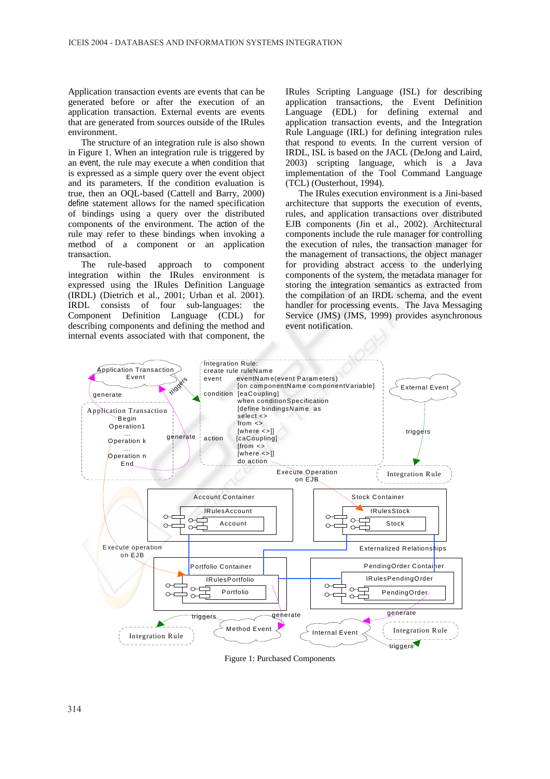Application transaction events are events that can be generated before or after the execution of an application transaction. External events are events that are generated from sources outside of the IRules environment.

The structure of an integration rule is also shown in Figure 1. When an integration rule is triggered by an event, the rule may execute a when condition that is expressed as a simple query over the event object and its parameters. If the condition evaluation is true, then an OQL-based (Cattell and Barry, 2000) define statement allows for the named specification of bindings using a query over the distributed components of the environment. The action of the rule may refer to these bindings when invoking a method of a component or an application transaction.

The rule-based approach to component integration within the IRules environment is expressed using the IRules Definition Language (IRDL) (Dietrich et al., 2001; Urban et al. 2001). IRDL consists of four sub-languages: the Component Definition Language (CDL) for describing components and defining the method and internal events associated with that component, the

IRules Scripting Language (ISL) for describing application transactions, the Event Definition Language (EDL) for defining external and application transaction events, and the Integration Rule Language (IRL) for defining integration rules that respond to events. In the current version of IRDL, ISL is based on the JACL (DeJong and Laird, 2003) scripting language, which is a Java implementation of the Tool Command Language (TCL) (Ousterhout, 1994).

The IRules execution environment is a Jini-based architecture that supports the execution of events, rules, and application transactions over distributed EJB components (Jin et al., 2002). Architectural components include the rule manager for controlling the execution of rules, the transaction manager for the management of transactions, the object manager for providing abstract access to the underlying components of the system, the metadata manager for storing the integration semantics as extracted from the compilation of an IRDL schema, and the event handler for processing events. The Java Messaging Service (JMS) (JMS, 1999) provides asynchronous event notification.



Figure 1: Purchased Components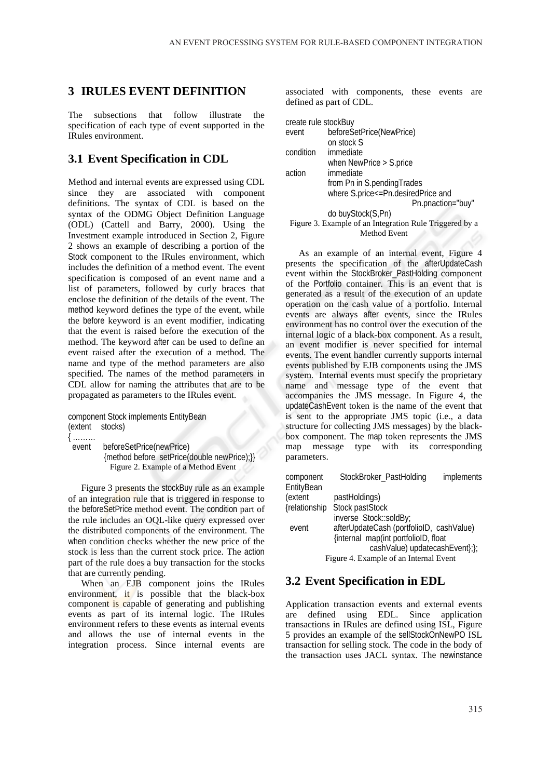## **3 IRULES EVENT DEFINITION**

The subsections that follow illustrate the specification of each type of event supported in the IRules environment.

### **3.1 Event Specification in CDL**

Method and internal events are expressed using CDL since they are associated with component definitions. The syntax of CDL is based on the syntax of the ODMG Object Definition Language (ODL) (Cattell and Barry, 2000). Using the Investment example introduced in Section 2, Figure 2 shows an example of describing a portion of the Stock component to the IRules environment, which includes the definition of a method event. The event specification is composed of an event name and a list of parameters, followed by curly braces that enclose the definition of the details of the event. The method keyword defines the type of the event, while the before keyword is an event modifier, indicating that the event is raised before the execution of the method. The keyword after can be used to define an event raised after the execution of a method. The name and type of the method parameters are also specified. The names of the method parameters in CDL allow for naming the attributes that are to be propagated as parameters to the IRules event.

```
component Stock implements EntityBean 
(extent stocks) 
{ ……… 
 event beforeSetPrice(newPrice) 
           {method before setPrice(double newPrice);}} 
           Figure 2. Example of a Method Event
```
Figure 3 presents the stockBuy rule as an example of an integration rule that is triggered in response to the beforeSetPrice method event. The condition part of the rule includes an OQL-like query expressed over the distributed components of the environment. The when condition checks whether the new price of the stock is less than the current stock price. The action part of the rule does a buy transaction for the stocks that are currently pending.

When an EJB component joins the IRules environment, it is possible that the black-box component is capable of generating and publishing events as part of its internal logic. The IRules environment refers to these events as internal events and allows the use of internal events in the integration process. Since internal events are

associated with components, these events are defined as part of CDL.

| create rule stockBuy                                    |                            |  |  |
|---------------------------------------------------------|----------------------------|--|--|
| event                                                   | beforeSetPrice(NewPrice)   |  |  |
|                                                         | on stock S                 |  |  |
| condition                                               | immediate                  |  |  |
|                                                         | when NewPrice $>$ S.price  |  |  |
| action                                                  | <i>immediate</i>           |  |  |
|                                                         | from Pn in S.pendingTrades |  |  |
| where S.price <= Pn.desired Price and                   |                            |  |  |
|                                                         | Pn.pnaction="buy"          |  |  |
|                                                         | do buyStock(S,Pn)          |  |  |
| Figure 3. Example of an Integration Rule Triggered by a |                            |  |  |
| Method Event                                            |                            |  |  |

As an example of an internal event, Figure 4 presents the specification of the afterUpdateCash event within the StockBroker\_PastHolding component of the Portfolio container. This is an event that is generated as a result of the execution of an update operation on the cash value of a portfolio. Internal events are always after events, since the IRules environment has no control over the execution of the internal logic of a black-box component. As a result, an event modifier is never specified for internal events. The event handler currently supports internal events published by EJB components using the JMS system. Internal events must specify the proprietary name and message type of the event that accompanies the JMS message. In Figure 4, the updateCashEvent token is the name of the event that is sent to the appropriate JMS topic (i.e., a data structure for collecting JMS messages) by the blackbox component. The map token represents the JMS map message type with its corresponding parameters.

| component     | StockBroker_PastHolding                  | <i>implements</i> |
|---------------|------------------------------------------|-------------------|
| EntityBean    |                                          |                   |
| (extent       | pastHoldings)                            |                   |
| {relationship | Stock pastStock                          |                   |
|               | inverse Stock::soldBy;                   |                   |
| event         | afterUpdateCash (portfolioID, cashValue) |                   |
|               | {internal_map(int portfolioID, float     |                   |
|               | cashValue) updatecashEvent};};           |                   |
|               | Figure 4. Example of an Internal Event   |                   |

#### **3.2 Event Specification in EDL**

Application transaction events and external events are defined using EDL. Since application transactions in IRules are defined using ISL, Figure 5 provides an example of the sellStockOnNewPO ISL transaction for selling stock. The code in the body of the transaction uses JACL syntax. The newinstance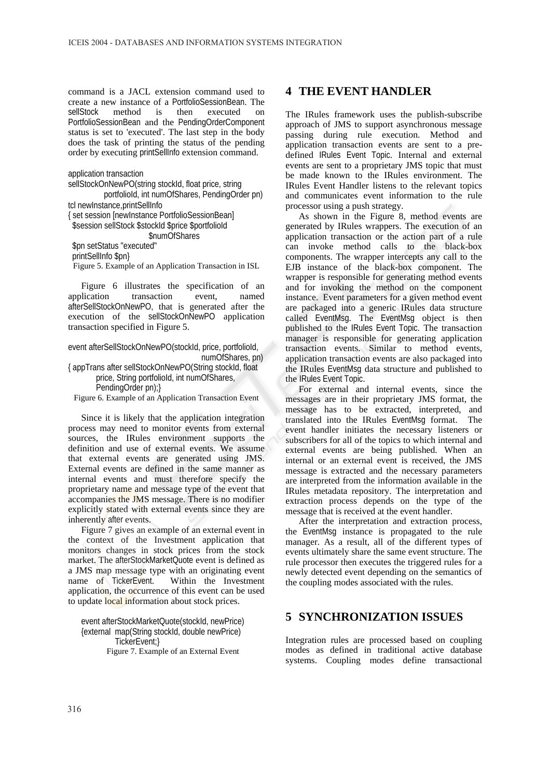command is a JACL extension command used to create a new instance of a PortfolioSessionBean. The sellStock method is then executed on PortfolioSessionBean and the PendingOrderComponent status is set to 'executed'. The last step in the body does the task of printing the status of the pending order by executing printSellInfo extension command.

application transaction

sellStockOnNewPO(string stockId, float price, string portfolioId, int numOfShares, PendingOrder pn) tcl newInstance,printSellInfo { set session [newInstance PortfolioSessionBean] \$session sellStock \$stockId \$price \$portfolioId \$numOfShares \$pn setStatus "executed" printSellInfo \$pn} Figure 5. Example of an Application Transaction in ISL Figure 6 illustrates the specification of an

application transaction event, named afterSellStockOnNewPO, that is generated after the execution of the sellStockOnNewPO application transaction specified in Figure 5.

event afterSellStockOnNewPO(stockId, price, portfolioId, numOfShares, pn)

{ appTrans after sellStockOnNewPO(String stockId, float price, String portfolioId, int numOfShares, PendingOrder pn);}

Figure 6. Example of an Application Transaction Event

Since it is likely that the application integration process may need to monitor events from external sources, the IRules environment supports the definition and use of external events. We assume that external events are generated using JMS. External events are defined in the same manner as internal events and must therefore specify the proprietary name and message type of the event that accompanies the JMS message. There is no modifier explicitly stated with external events since they are inherently after events.

Figure 7 gives an example of an external event in the context of the Investment application that monitors changes in stock prices from the stock market. The afterStockMarketQuote event is defined as a JMS map message type with an originating event name of TickerEvent. Within the Investment application, the occurrence of this event can be used to update local information about stock prices.

event afterStockMarketQuote(stockId, newPrice) {external map(String stockId, double newPrice) TickerEvent;} Figure 7. Example of an External Event

### **4 THE EVENT HANDLER**

The IRules framework uses the publish-subscribe approach of JMS to support asynchronous message passing during rule execution. Method and application transaction events are sent to a predefined IRules Event Topic. Internal and external events are sent to a proprietary JMS topic that must be made known to the IRules environment. The IRules Event Handler listens to the relevant topics and communicates event information to the rule processor using a push strategy.

As shown in the Figure 8, method events are generated by IRules wrappers. The execution of an application transaction or the action part of a rule can invoke method calls to the black-box components. The wrapper intercepts any call to the EJB instance of the black-box component. The wrapper is responsible for generating method events and for invoking the method on the component instance. Event parameters for a given method event are packaged into a generic IRules data structure called EventMsg. The EventMsg object is then published to the IRules Event Topic. The transaction manager is responsible for generating application transaction events. Similar to method events, application transaction events are also packaged into the IRules EventMsg data structure and published to the IRules Event Topic.

For external and internal events, since the messages are in their proprietary JMS format, the message has to be extracted, interpreted, and translated into the IRules EventMsg format. The event handler initiates the necessary listeners or subscribers for all of the topics to which internal and external events are being published. When an internal or an external event is received, the JMS message is extracted and the necessary parameters are interpreted from the information available in the IRules metadata repository. The interpretation and extraction process depends on the type of the message that is received at the event handler.

After the interpretation and extraction process, the EventMsg instance is propagated to the rule manager. As a result, all of the different types of events ultimately share the same event structure. The rule processor then executes the triggered rules for a newly detected event depending on the semantics of the coupling modes associated with the rules.

## **5 SYNCHRONIZATION ISSUES**

Integration rules are processed based on coupling modes as defined in traditional active database systems. Coupling modes define transactional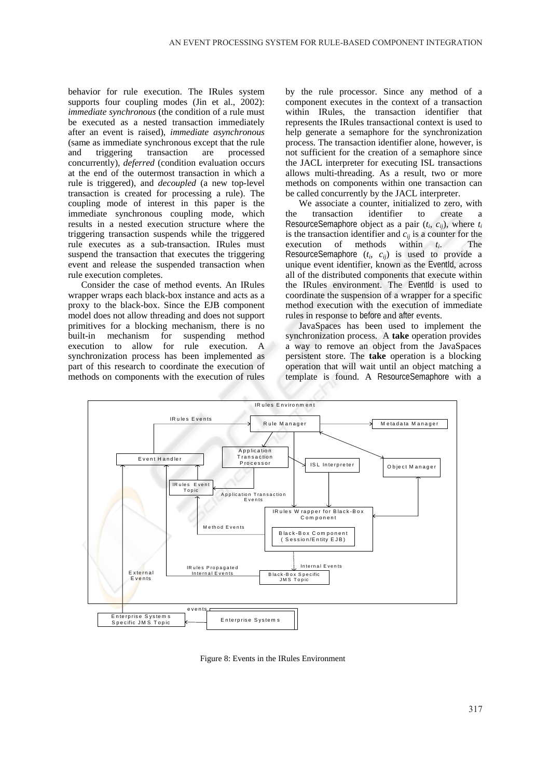behavior for rule execution. The IRules system supports four coupling modes (Jin et al., 2002): *immediate synchronous* (the condition of a rule must be executed as a nested transaction immediately after an event is raised), *immediate asynchronous* (same as immediate synchronous except that the rule and triggering transaction are processed concurrently), *deferred* (condition evaluation occurs at the end of the outermost transaction in which a rule is triggered), and *decoupled* (a new top-level transaction is created for processing a rule). The coupling mode of interest in this paper is the immediate synchronous coupling mode, which results in a nested execution structure where the triggering transaction suspends while the triggered rule executes as a sub-transaction. IRules must suspend the transaction that executes the triggering event and release the suspended transaction when rule execution completes.

Consider the case of method events. An IRules wrapper wraps each black-box instance and acts as a proxy to the black-box. Since the EJB component model does not allow threading and does not support primitives for a blocking mechanism, there is no built-in mechanism for suspending method execution to allow for rule execution. A synchronization process has been implemented as part of this research to coordinate the execution of methods on components with the execution of rules

by the rule processor. Since any method of a component executes in the context of a transaction within IRules, the transaction identifier that represents the IRules transactional context is used to help generate a semaphore for the synchronization process. The transaction identifier alone, however, is not sufficient for the creation of a semaphore since the JACL interpreter for executing ISL transactions allows multi-threading. As a result, two or more methods on components within one transaction can be called concurrently by the JACL interpreter.

We associate a counter, initialized to zero, with the transaction identifier to create a ResourceSemaphore object as a pair  $(t_i, c_{ii})$ , where  $t_i$ is the transaction identifier and  $\vec{c}_{ij}$  is a counter for the execution of methods within *ti*. The ResourceSemaphore  $(t_i, c_{ij})$  is used to provide a unique event identifier, known as the EventId, across all of the distributed components that execute within the IRules environment. The EventId is used to coordinate the suspension of a wrapper for a specific method execution with the execution of immediate rules in response to before and after events.

JavaSpaces has been used to implement the synchronization process. A **take** operation provides a way to remove an object from the JavaSpaces persistent store. The **take** operation is a blocking operation that will wait until an object matching a template is found. A ResourceSemaphore with a



Figure 8: Events in the IRules Environment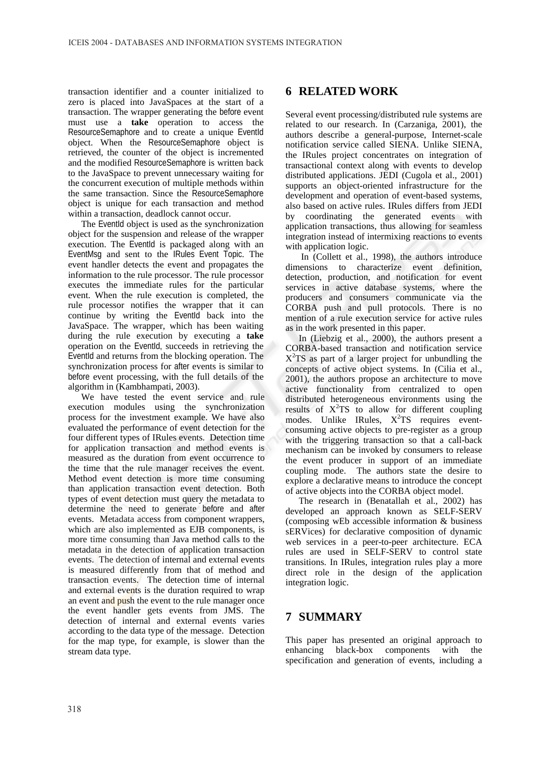transaction identifier and a counter initialized to zero is placed into JavaSpaces at the start of a transaction. The wrapper generating the before event must use a **take** operation to access the ResourceSemaphore and to create a unique EventId object. When the ResourceSemaphore object is retrieved, the counter of the object is incremented and the modified ResourceSemaphore is written back to the JavaSpace to prevent unnecessary waiting for the concurrent execution of multiple methods within the same transaction. Since the ResourceSemaphore object is unique for each transaction and method within a transaction, deadlock cannot occur.

The EventId object is used as the synchronization object for the suspension and release of the wrapper execution. The EventId is packaged along with an EventMsg and sent to the IRules Event Topic. The event handler detects the event and propagates the information to the rule processor. The rule processor executes the immediate rules for the particular event. When the rule execution is completed, the rule processor notifies the wrapper that it can continue by writing the EventId back into the JavaSpace. The wrapper, which has been waiting during the rule execution by executing a **take** operation on the EventId, succeeds in retrieving the EventId and returns from the blocking operation. The synchronization process for after events is similar to before event processing, with the full details of the algorithm in (Kambhampati, 2003).

We have tested the event service and rule execution modules using the synchronization process for the investment example. We have also evaluated the performance of event detection for the four different types of IRules events. Detection time for application transaction and method events is measured as the duration from event occurrence to the time that the rule manager receives the event. Method event detection is more time consuming than application transaction event detection. Both types of event detection must query the metadata to determine the need to generate before and after events. Metadata access from component wrappers, which are also implemented as EJB components, is more time consuming than Java method calls to the metadata in the detection of application transaction events. The detection of internal and external events is measured differently from that of method and transaction events. The detection time of internal and external events is the duration required to wrap an event and push the event to the rule manager once the event handler gets events from JMS. The detection of internal and external events varies according to the data type of the message. Detection for the map type, for example, is slower than the stream data type.

### **6 RELATED WORK**

Several event processing/distributed rule systems are related to our research. In (Carzaniga, 2001), the authors describe a general-purpose, Internet-scale notification service called SIENA. Unlike SIENA, the IRules project concentrates on integration of transactional context along with events to develop distributed applications. JEDI (Cugola et al., 2001) supports an object-oriented infrastructure for the development and operation of event-based systems, also based on active rules. IRules differs from JEDI by coordinating the generated events with application transactions, thus allowing for seamless integration instead of intermixing reactions to events with application logic.

 In (Collett et al., 1998), the authors introduce dimensions to characterize event definition, detection, production, and notification for event services in active database systems, where the producers and consumers communicate via the CORBA push and pull protocols. There is no mention of a rule execution service for active rules as in the work presented in this paper.

In (Liebzig et al., 2000), the authors present a CORBA-based transaction and notification service  $X<sup>2</sup>TS$  as part of a larger project for unbundling the concepts of active object systems. In (Cilia et al., 2001), the authors propose an architecture to move active functionality from centralized to open distributed heterogeneous environments using the results of  $X^2TS$  to allow for different coupling modes. Unlike IRules,  $X^2TS$  requires eventconsuming active objects to pre-register as a group with the triggering transaction so that a call-back mechanism can be invoked by consumers to release the event producer in support of an immediate coupling mode. The authors state the desire to explore a declarative means to introduce the concept of active objects into the CORBA object model.

The research in (Benatallah et al., 2002) has developed an approach known as SELF-SERV (composing wEb accessible information & business sERVices) for declarative composition of dynamic web services in a peer-to-peer architecture. ECA rules are used in SELF-SERV to control state transitions. In IRules, integration rules play a more direct role in the design of the application integration logic.

## **7 SUMMARY**

This paper has presented an original approach to enhancing black-box components with the specification and generation of events, including a